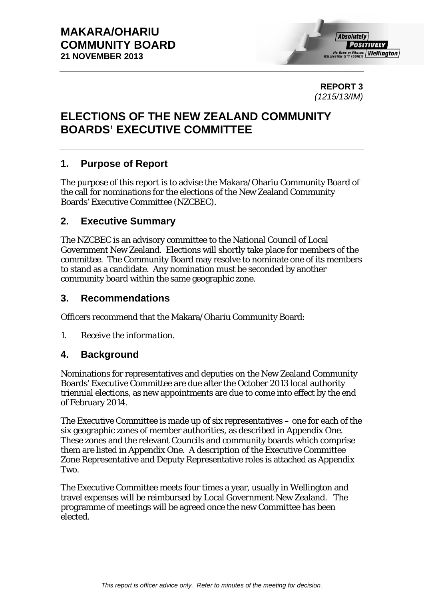

**REPORT 3**  *(1215/13/IM)* 

# **ELECTIONS OF THE NEW ZEALAND COMMUNITY BOARDS' EXECUTIVE COMMITTEE**

# **1. Purpose of Report**

The purpose of this report is to advise the Makara/Ohariu Community Board of the call for nominations for the elections of the New Zealand Community Boards' Executive Committee (NZCBEC).

# **2. Executive Summary**

The NZCBEC is an advisory committee to the National Council of Local Government New Zealand. Elections will shortly take place for members of the committee. The Community Board may resolve to nominate one of its members to stand as a candidate. Any nomination must be seconded by another community board within the same geographic zone.

# **3. Recommendations**

Officers recommend that the Makara/Ohariu Community Board:

*1. Receive the information.* 

# **4. Background**

Nominations for representatives and deputies on the New Zealand Community Boards' Executive Committee are due after the October 2013 local authority triennial elections, as new appointments are due to come into effect by the end of February 2014.

The Executive Committee is made up of six representatives – one for each of the six geographic zones of member authorities, as described in Appendix One. These zones and the relevant Councils and community boards which comprise them are listed in Appendix One. A description of the Executive Committee Zone Representative and Deputy Representative roles is attached as Appendix Two.

The Executive Committee meets four times a year, usually in Wellington and travel expenses will be reimbursed by Local Government New Zealand. The programme of meetings will be agreed once the new Committee has been elected.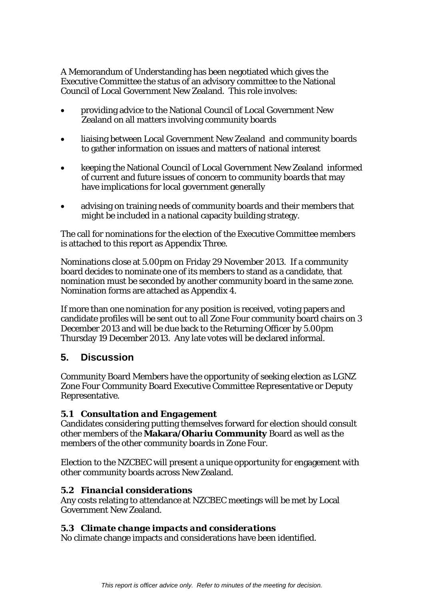A Memorandum of Understanding has been negotiated which gives the Executive Committee the status of an advisory committee to the National Council of Local Government New Zealand. This role involves:

- providing advice to the National Council of Local Government New Zealand on all matters involving community boards
- liaising between Local Government New Zealand and community boards to gather information on issues and matters of national interest
- keeping the National Council of Local Government New Zealand informed of current and future issues of concern to community boards that may have implications for local government generally
- advising on training needs of community boards and their members that might be included in a national capacity building strategy.

The call for nominations for the election of the Executive Committee members is attached to this report as Appendix Three.

Nominations close at 5.00pm on Friday 29 November 2013. If a community board decides to nominate one of its members to stand as a candidate, that nomination must be seconded by another community board in the same zone. Nomination forms are attached as Appendix 4.

If more than one nomination for any position is received, voting papers and candidate profiles will be sent out to all Zone Four community board chairs on 3 December 2013 and will be due back to the Returning Officer by 5.00pm Thursday 19 December 2013. Any late votes will be declared informal.

# **5. Discussion**

Community Board Members have the opportunity of seeking election as LGNZ Zone Four Community Board Executive Committee Representative or Deputy Representative.

## *5.1 Consultation and Engagement*

Candidates considering putting themselves forward for election should consult other members of the **Makara/Ohariu Community** Board as well as the members of the other community boards in Zone Four.

Election to the NZCBEC will present a unique opportunity for engagement with other community boards across New Zealand.

## *5.2 Financial considerations*

Any costs relating to attendance at NZCBEC meetings will be met by Local Government New Zealand.

## *5.3 Climate change impacts and considerations*

No climate change impacts and considerations have been identified.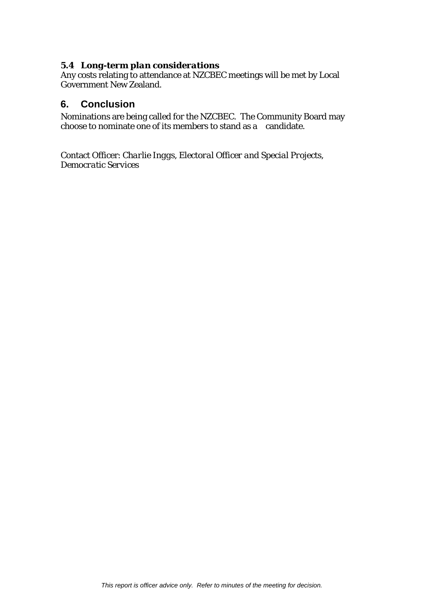#### *5.4 Long-term plan considerations*

Any costs relating to attendance at NZCBEC meetings will be met by Local Government New Zealand.

## **6. Conclusion**

Nominations are being called for the NZCBEC. The Community Board may choose to nominate one of its members to stand as a candidate.

Contact Officer: *Charlie Inggs, Electoral Officer and Special Projects, Democratic Services*